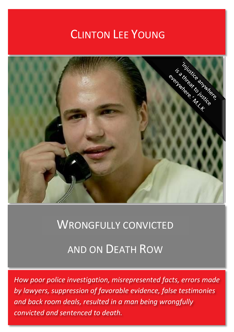# CLINTON LEE YOUNG



## WRONGFULLY CONVICTED

## AND ON DEATH ROW

*How poor police investigation, misrepresented facts, errors made by lawyers, suppression of favorable evidence, false testimonies and back room deals, resulted in a man being wrongfully convicted and sentenced to death.*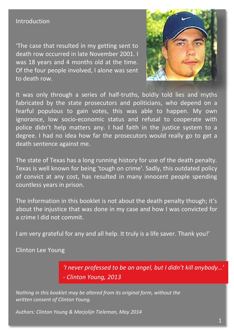#### Introduction

'The case that resulted in my getting sent to death row occurred in late November 2001. I was 18 years and 4 months old at the time. Of the four people involved, I alone was sent to death row.



It was only through a series of half-truths, boldly told lies and myths fabricated by the state prosecutors and politicians, who depend on a fearful populous to gain votes, this was able to happen. My own ignorance, low socio-economic status and refusal to cooperate with police didn't help matters any. I had faith in the justice system to a degree. I had no idea how far the prosecutors would really go to get a death sentence against me.

The state of Texas has a long running history for use of the death penalty. Texas is well known for being 'tough on crime'. Sadly, this outdated policy of convict at any cost, has resulted in many innocent people spending countless years in prison.

The information in this booklet is not about the death penalty though; it's about the injustice that was done in my case and how I was convicted for a crime I did not commit.

I am very grateful for any and all help. It truly is a life saver. Thank you!'

Clinton Lee Young

*'I never professed to be an angel, but I didn't kill anybody…' - Clinton Young, 2013*

*Nothing in this booklet may be altered from its original form, without the written consent of Clinton Young.* 

*Authors: Clinton Young & Marjolijn Tieleman, May 2014*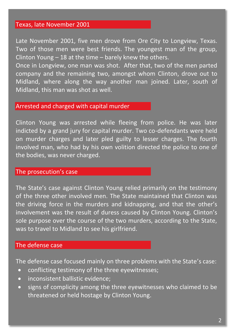#### Texas, late November 2001

Late November 2001, five men drove from Ore City to Longview, Texas. Two of those men were best friends. The youngest man of the group, Clinton Young – 18 at the time – barely knew the others.

Once in Longview, one man was shot. After that, two of the men parted company and the remaining two, amongst whom Clinton, drove out to Midland, where along the way another man joined. Later, south of Midland, this man was shot as well.

#### Arrested and charged with capital murder

Clinton Young was arrested while fleeing from police. He was later indicted by a grand jury for capital murder. Two co-defendants were held on murder charges and later pled guilty to lesser charges. The fourth involved man, who had by his own volition directed the police to one of the bodies, was never charged.

#### The prosecution's case

The State's case against Clinton Young relied primarily on the testimony of the three other involved men. The State maintained that Clinton was the driving force in the murders and kidnapping, and that the other's involvement was the result of duress caused by Clinton Young. Clinton's sole purpose over the course of the two murders, according to the State, was to travel to Midland to see his girlfriend.

#### The defense case

The defense case focused mainly on three problems with the State's case:

- conflicting testimony of the three eyewitnesses;
- inconsistent ballistic evidence:
- signs of complicity among the three eyewitnesses who claimed to be threatened or held hostage by Clinton Young.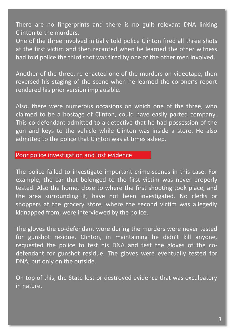There are no fingerprints and there is no guilt relevant DNA linking Clinton to the murders.

One of the three involved initially told police Clinton fired all three shots at the first victim and then recanted when he learned the other witness had told police the third shot was fired by one of the other men involved.

Another of the three, re-enacted one of the murders on videotape, then reversed his staging of the scene when he learned the coroner's report rendered his prior version implausible.

Also, there were numerous occasions on which one of the three, who claimed to be a hostage of Clinton, could have easily parted company. This co-defendant admitted to a detective that he had possession of the gun and keys to the vehicle while Clinton was inside a store. He also admitted to the police that Clinton was at times asleep.

## Poor police investigation and lost evidence

The police failed to investigate important crime-scenes in this case. For example, the car that belonged to the first victim was never properly tested. Also the home, close to where the first shooting took place, and the area surrounding it, have not been investigated. No clerks or shoppers at the grocery store, where the second victim was allegedly kidnapped from, were interviewed by the police.

The gloves the co-defendant wore during the murders were never tested for gunshot residue. Clinton, in maintaining he didn't kill anyone, requested the police to test his DNA and test the gloves of the codefendant for gunshot residue. The gloves were eventually tested for DNA, but only on the outside.

On top of this, the State lost or destroyed evidence that was exculpatory in nature.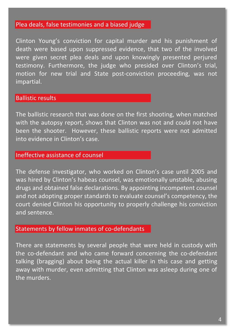#### Plea deals, false testimonies and a biased judge

Clinton Young's conviction for capital murder and his punishment of death were based upon suppressed evidence, that two of the involved were given secret plea deals and upon knowingly presented perjured testimony. Furthermore, the judge who presided over Clinton's trial, motion for new trial and State post-conviction proceeding, was not impartial.

#### Ballistic results

The ballistic research that was done on the first shooting, when matched with the autopsy report, shows that Clinton was not and could not have been the shooter. However, these ballistic reports were not admitted into evidence in Clinton's case.

## Ineffective assistance of counsel

The defense investigator, who worked on Clinton's case until 2005 and was hired by Clinton's habeas counsel, was emotionally unstable, abusing drugs and obtained false declarations. By appointing incompetent counsel and not adopting proper standards to evaluate counsel's competency, the court denied Clinton his opportunity to properly challenge his conviction and sentence.

#### Statements by fellow inmates of co-defendants

There are statements by several people that were held in custody with the co-defendant and who came forward concerning the co-defendant talking (bragging) about being the actual killer in this case and getting away with murder, even admitting that Clinton was asleep during one of the murders.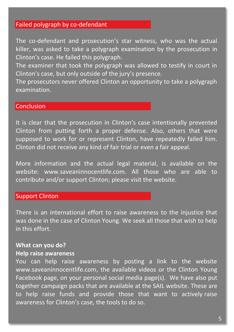### Failed polygraph by co-defendant

The co-defendant and prosecution's star witness, who was the actual killer, was asked to take a polygraph examination by the prosecution in Clinton's case. He failed this polygraph.

The examiner that took the polygraph was allowed to testify in court in Clinton's case, but only outside of the jury's presence.

The prosecutors never offered Clinton an opportunity to take a polygraph examination.

### **Conclusion**

It is clear that the prosecution in Clinton's case intentionally prevented Clinton from putting forth a proper defense. Also, others that were supposed to work for or represent Clinton, have repeatedly failed him. Clinton did not receive any kind of fair trial or even a fair appeal.

More information and the actual legal material, is available on the website: www.saveaninnocentlife.com. All those who are able to contribute and/or support Clinton; please visit the website.

### Support Clinton

There is an international effort to raise awareness to the injustice that was done in the case of Clinton Young. We seek all those that wish to help in this effort.

#### **What can you do?**

#### **Help raise awareness**

You can help raise awareness by posting a link to the website www.saveaninnocentlife.com, the available videos or the Clinton Young Facebook page, on your personal social media page(s). We have also put together campaign packs that are available at the SAIL website. These are to help raise funds and provide those that want to actively raise awareness for Clinton's case, the tools to do so.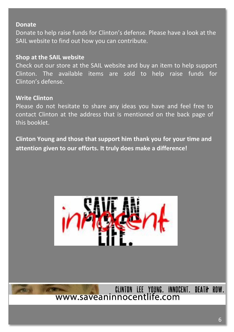#### **Donate**

Donate to help raise funds for Clinton's defense. Please have a look at the SAIL website to find out how you can contribute.

### **Shop at the SAIL website**

Check out our store at the SAIL website and buy an item to help support Clinton. The available items are sold to help raise funds for Clinton's defense.

### **Write Clinton**

Please do not hesitate to share any ideas you have and feel free to contact Clinton at the address that is mentioned on the back page of this booklet.

**Clinton Young and those that support him thank you for your time and attention given to our efforts. It truly does make a difference!**



CLINTON LEE YOUNG. INNOCENT. DEATH ROW.